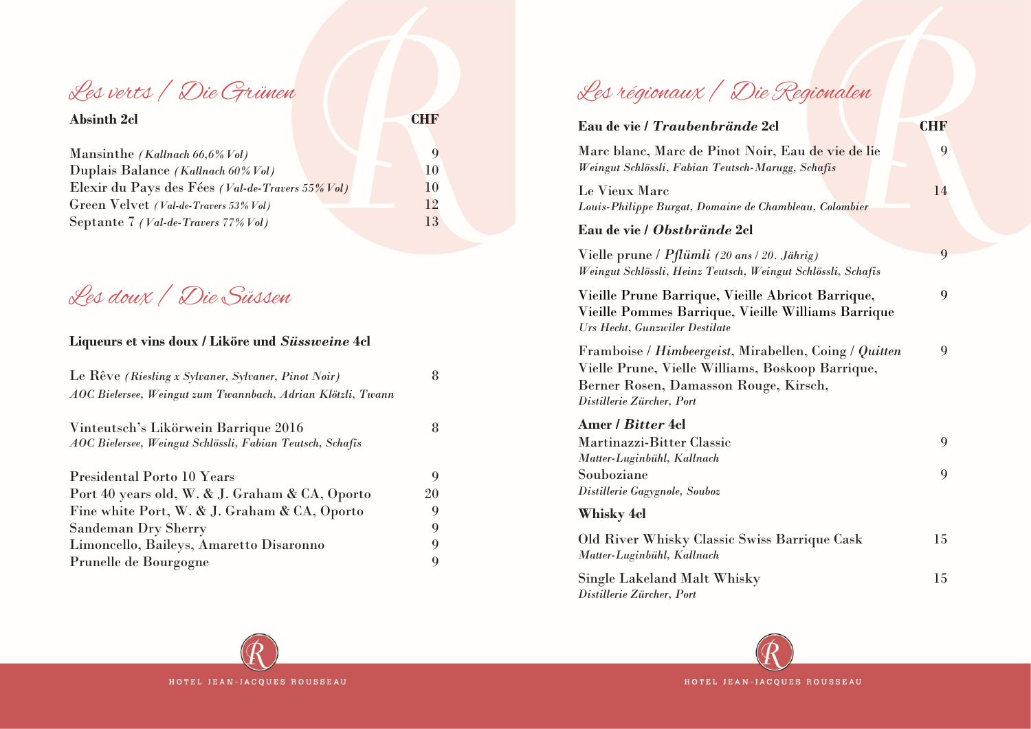Les verts / Die Grünen

| <b>Absinth 2cl</b>                               |           |
|--------------------------------------------------|-----------|
| Mansinthe (Kallnach $66,6\%$ Vol)                |           |
| Duplais Balance (Kallnach 60% Vol)               | 10        |
| Elexir du Pays des Fées (Val-de-Travers 55% Vol) | <b>10</b> |
| Green Velvet (Val-de-Travers 53% Vol)            | 12        |
| Septante 7 (Val-de-Travers 77% Vol)              | 13        |

Les doux / Die Süssen

## **Liqueurs et vins doux / Liköre und** *Süssweine* **4cl**

| Le Rêve (Riesling x Sylvaner, Sylvaner, Pinot Noir)         | 8  |
|-------------------------------------------------------------|----|
| AOC Bielersee, Weingut zum Twannbach, Adrian Klötzli, Twann |    |
| Vinteutsch's Likörwein Barrique 2016                        | 8  |
| AOC Bielersee, Weingut Schlössli, Fabian Teutsch, Schafis   |    |
| Presidental Porto 10 Years                                  | 9  |
| Port 40 years old, W. & J. Graham & CA, Oporto              | 20 |
| Fine white Port, W. & J. Graham & CA, Oporto                | 9  |
| Sandeman Dry Sherry                                         | 9  |
| Limoncello, Baileys, Amaretto Disaronno                     | 9  |
| Prunelle de Bourgogne                                       | 9  |

## Les régionaux / Die Regionalen

| Eau de vie / <i>Traubenbrände</i> 2cl                                                                                                                                           | <b>CHF</b> |
|---------------------------------------------------------------------------------------------------------------------------------------------------------------------------------|------------|
| Marc blanc, Marc de Pinot Noir, Eau de vie de lie<br>Weingut Schlössli, Fabian Teutsch-Marugg, Schafis                                                                          | 9          |
| Le Vieux Marc<br>Louis-Philippe Burgat, Domaine de Chambleau, Colombier                                                                                                         | 14         |
| Eau de vie / <i>Obstbrände</i> 2cl                                                                                                                                              |            |
| Vielle prune / Pflümli (20 ans / 20. Jährig)<br>Weingut Schlössli, Heinz Teutsch, Weingut Schlössli, Schafis                                                                    | 9          |
| Vieille Prune Barrique, Vieille Abricot Barrique,<br>Vieille Pommes Barrique, Vieille Williams Barrique<br>Urs Hecht, Gunzwiler Destilate                                       | 9          |
| Framboise / Himbeergeist, Mirabellen, Coing / Quitten<br>Vielle Prune, Vielle Williams, Boskoop Barrique,<br>Berner Rosen, Damasson Rouge, Kirsch,<br>Distillerie Zürcher, Port | 9          |
| Amer / <i>Bitter</i> 4cl<br>Martinazzi-Bitter Classic<br>Matter-Luginbühl, Kallnach                                                                                             | 9          |
| Souboziane<br>Distillerie Gagygnole, Souboz                                                                                                                                     | 9          |
| <b>Whisky 4cl</b>                                                                                                                                                               |            |
| Old River Whisky Classic Swiss Barrique Cask<br>Matter-Luginbühl, Kallnach                                                                                                      | 15         |
| Single Lakeland Malt Whisky<br>Distillerie Zürcher, Port                                                                                                                        | 15         |